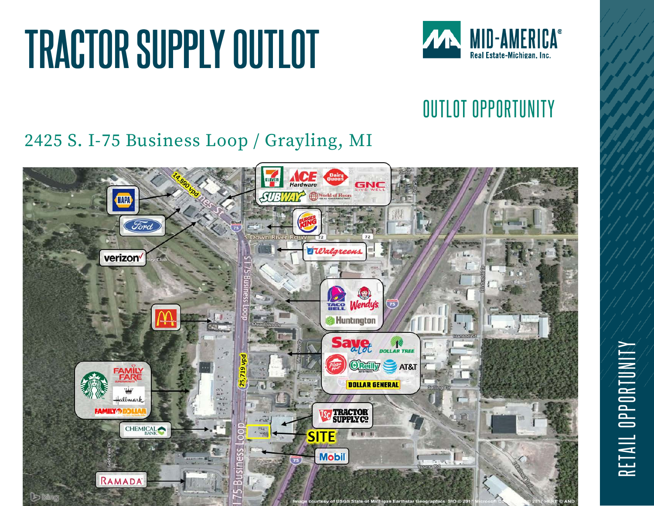

## OUTLOT OPPORTUNITY

### 2425 S. I-75 Business Loop / Grayling, MI

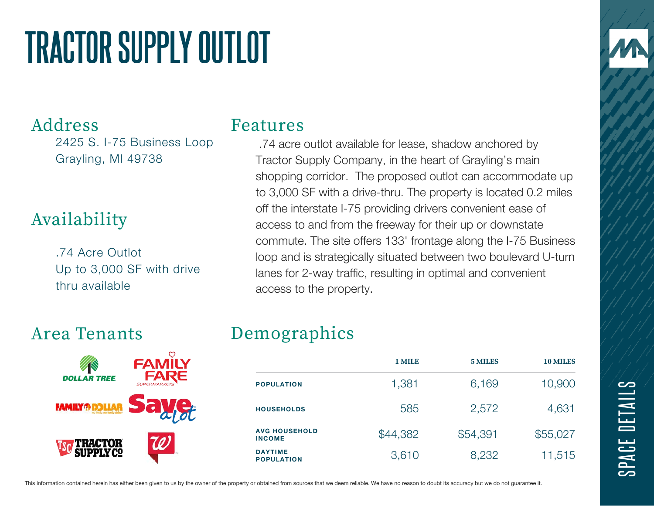### Address

2425 S. I-75 Business Loop Grayling, MI 49738

## Availability

.74 Acre Outlot Up to 3,000 SF with drive thru available

### Area Tenants



#### Features

.74 acre outlot available for lease, shadow anchored by Tractor Supply Company, in the heart of Grayling's main shopping corridor. The proposed outlot can accommodate up to 3,000 SF with a drive-thru. The property is located 0.2 miles off the interstate I-75 providing drivers convenient ease of access to and from the freeway for their up or downstate commute. The site offers 133' frontage along the I-75 Business loop and is strategically situated between two boulevard U-turn lanes for 2-way traffic, resulting in optimal and convenient access to the property.

### Demographics

|                                       | 1 MILE   | 5 MILES  | <b>10 MILES</b> |
|---------------------------------------|----------|----------|-----------------|
| <b>POPULATION</b>                     | 1,381    | 6,169    | 10,900          |
| <b>HOUSEHOLDS</b>                     | 585      | 2,572    | 4,631           |
| <b>AVG HOUSEHOLD</b><br><b>INCOME</b> | \$44,382 | \$54,391 | \$55,027        |
| <b>DAYTIME</b><br><b>POPULATION</b>   | 3,610    | 8,232    | 11,515          |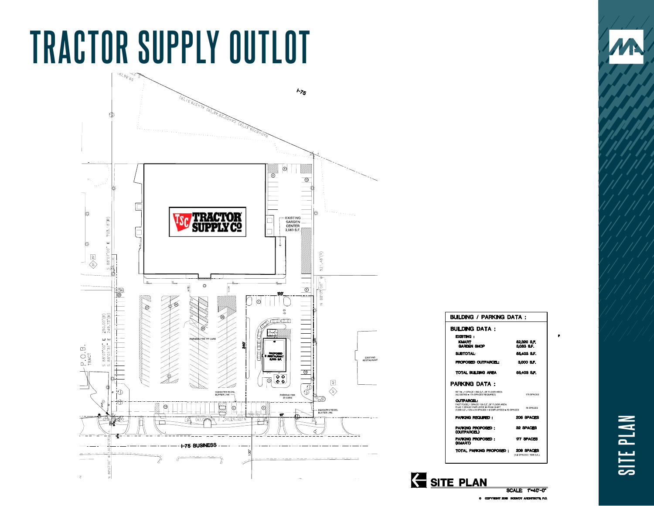

| BUILDING / PARKING DATA :                                                                                                                                          |                                    |  |
|--------------------------------------------------------------------------------------------------------------------------------------------------------------------|------------------------------------|--|
| <b>BUILDING DATA :</b>                                                                                                                                             |                                    |  |
| <b>EXISTING:</b><br><b>KMART</b><br>GARDEN SHOP                                                                                                                    | 62.320 S.F.<br><b>SOBS &amp;F.</b> |  |
| <b>SLETOTAL:</b>                                                                                                                                                   | 55.403 S.F.                        |  |
| PROPOSED OUTPARCEL:                                                                                                                                                | 3000 SF.                           |  |
| TOTAL BUILDING AREA                                                                                                                                                | 58.403 S.F.                        |  |
| <b>PARKING DATA:</b>                                                                                                                                               |                                    |  |
| RETAIL: 1 SPACE / 300 S.F. OF FLOOR AREA<br>(52.320/300 = 175 SPACES REQUIRED)                                                                                     | 175 SPACES                         |  |
| <b>CUTPARCEL:</b><br>FAST FOOD: 1 SPACE/ 125 S.F. OF FLOOR AREA<br>PLUS 1 SPACE/ EMPLOYEE IN PEAK SHIFT.<br>(3.000 S F / 125 - 24 SPACES + 6 EMPLOYEES - 30 SPACES | 30 SPACES                          |  |
| PARKING REQUIRED :                                                                                                                                                 | <b>205 SPACES</b>                  |  |
| PARKING PROPORED:<br>(OUTPARCEL)                                                                                                                                   | 32 SPACES                          |  |
| PARKING PROPOSED:<br><b>(KMART)</b>                                                                                                                                | <b>177 SPACES</b>                  |  |
| TOTAL PARKING PROPOSED: 200 SPACES                                                                                                                                 | (3.6 SPACES / 1000 S.F.)           |  |

**SCALE: 1-40'-0"** 

SITE PLAN

CONCEPTUAL DEMISING PLAN **SITE PLAN**SITE PLAN